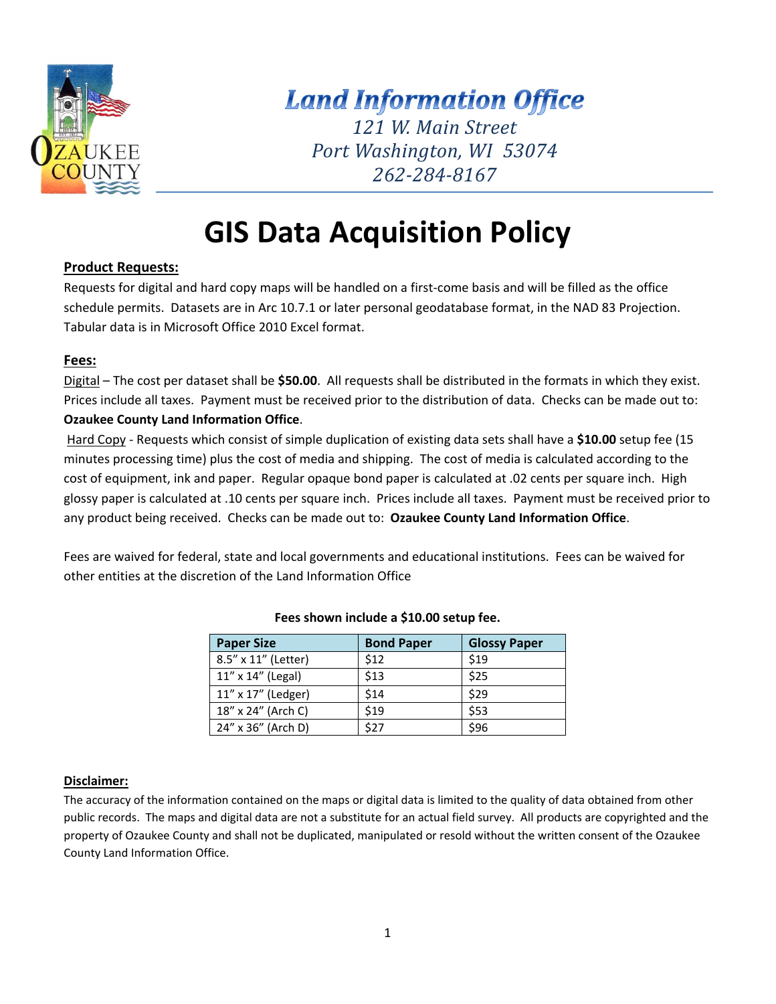

# **Land Information Office** *121 W. Main Street Port Washington, WI 53074 262‐284‐8167*

# **GIS Data Acquisition Policy**

#### **Product Requests:**

Requests for digital and hard copy maps will be handled on a first-come basis and will be filled as the office schedule permits. Datasets are in Arc 10.7.1 or later personal geodatabase format, in the NAD 83 Projection. Tabular data is in Microsoft Office 2010 Excel format.

#### **Fees:**

Digital – The cost per dataset shall be **\$50.00**. All requests shall be distributed in the formats in which they exist. Prices include all taxes. Payment must be received prior to the distribution of data. Checks can be made out to: **Ozaukee County Land Information Office**.

 Hard Copy ‐ Requests which consist of simple duplication of existing data sets shall have a **\$10.00** setup fee (15 minutes processing time) plus the cost of media and shipping. The cost of media is calculated according to the cost of equipment, ink and paper. Regular opaque bond paper is calculated at .02 cents per square inch. High glossy paper is calculated at .10 cents per square inch. Prices include all taxes. Payment must be received prior to any product being received. Checks can be made out to: **Ozaukee County Land Information Office**.

Fees are waived for federal, state and local governments and educational institutions. Fees can be waived for other entities at the discretion of the Land Information Office

| <b>Paper Size</b>   | <b>Bond Paper</b> | <b>Glossy Paper</b> |
|---------------------|-------------------|---------------------|
| 8.5" x 11" (Letter) | \$12              | \$19                |
| 11" x 14" (Legal)   | \$13              | \$25                |
| 11" x 17" (Ledger)  | \$14              | \$29                |
| 18" x 24" (Arch C)  | \$19              | \$53                |
| 24" x 36" (Arch D)  | \$27              | \$96                |

#### **Fees shown include a \$10.00 setup fee.**

#### **Disclaimer:**

The accuracy of the information contained on the maps or digital data is limited to the quality of data obtained from other public records. The maps and digital data are not a substitute for an actual field survey. All products are copyrighted and the property of Ozaukee County and shall not be duplicated, manipulated or resold without the written consent of the Ozaukee County Land Information Office.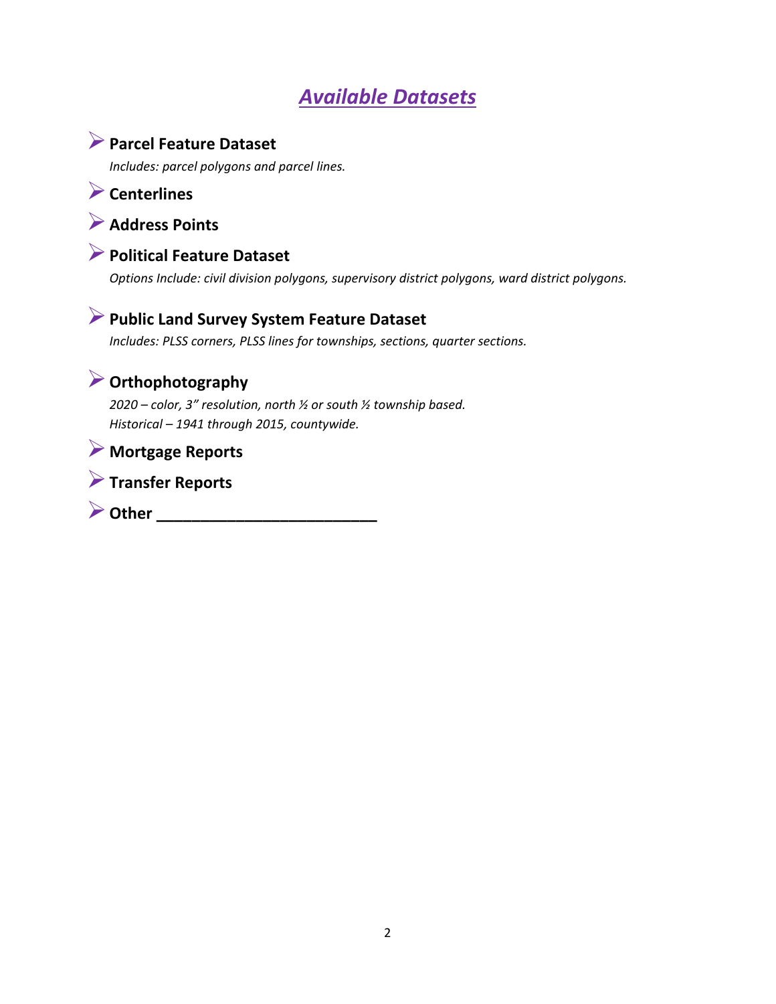# *Available Datasets*

## **Parcel Feature Dataset**

*Includes: parcel polygons and parcel lines.* 

**Centerlines** 

### **Address Points**



*Options Include: civil division polygons, supervisory district polygons, ward district polygons.* 

### **Public Land Survey System Feature Dataset**

*Includes: PLSS corners, PLSS lines for townships, sections, quarter sections.* 

# **Orthophotography**

*2020 – color, 3" resolution, north ½ or south ½ township based. Historical – 1941 through 2015, countywide.* 

### **Mortgage Reports**



**Dther \_\_\_\_\_\_\_\_\_\_\_\_\_\_\_\_\_\_\_\_\_\_\_\_\_\_\_\_**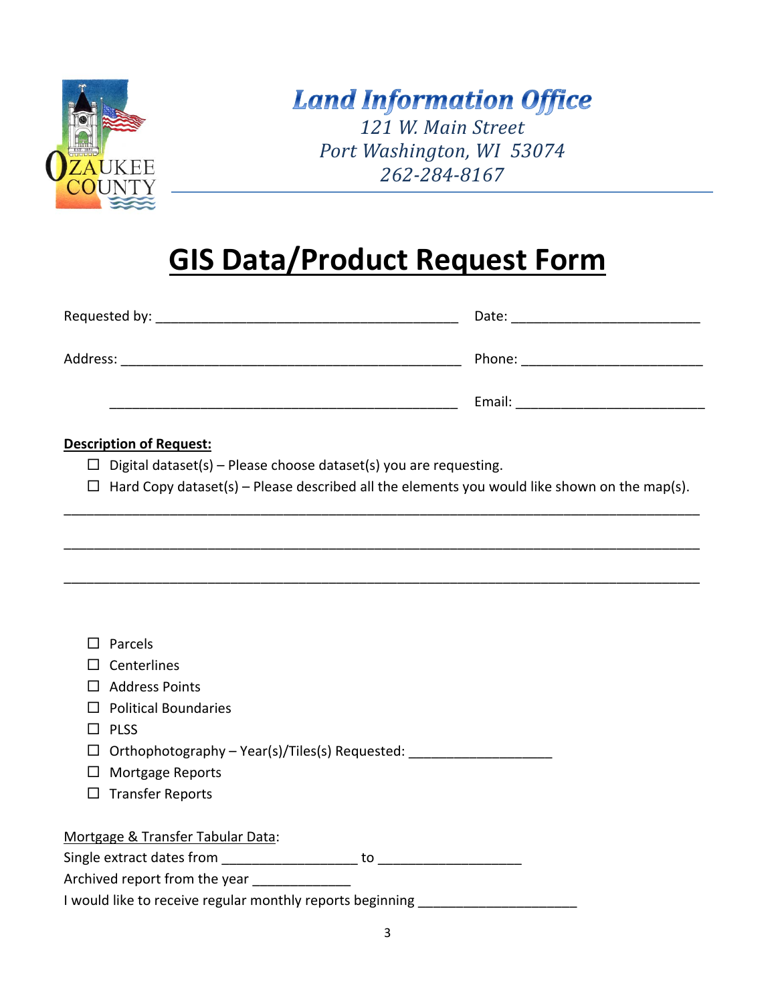

# **Land Information Office**

*121 W. Main Street Port Washington, WI 53074 262‐284‐8167*

# **GIS Data/Product Request Form**

|          | Date: _________________________ |
|----------|---------------------------------|
| Address: | Phone: _______________________  |
|          |                                 |
|          |                                 |

#### **Description of Request:**

- $\Box$  Digital dataset(s) Please choose dataset(s) you are requesting.
- $\Box$  Hard Copy dataset(s) Please described all the elements you would like shown on the map(s). \_\_\_\_\_\_\_\_\_\_\_\_\_\_\_\_\_\_\_\_\_\_\_\_\_\_\_\_\_\_\_\_\_\_\_\_\_\_\_\_\_\_\_\_\_\_\_\_\_\_\_\_\_\_\_\_\_\_\_\_\_\_\_\_\_\_\_\_\_\_\_\_\_\_\_\_\_\_\_\_\_\_\_\_

\_\_\_\_\_\_\_\_\_\_\_\_\_\_\_\_\_\_\_\_\_\_\_\_\_\_\_\_\_\_\_\_\_\_\_\_\_\_\_\_\_\_\_\_\_\_\_\_\_\_\_\_\_\_\_\_\_\_\_\_\_\_\_\_\_\_\_\_\_\_\_\_\_\_\_\_\_\_\_\_\_\_\_\_

\_\_\_\_\_\_\_\_\_\_\_\_\_\_\_\_\_\_\_\_\_\_\_\_\_\_\_\_\_\_\_\_\_\_\_\_\_\_\_\_\_\_\_\_\_\_\_\_\_\_\_\_\_\_\_\_\_\_\_\_\_\_\_\_\_\_\_\_\_\_\_\_\_\_\_\_\_\_\_\_\_\_\_\_

| Parcels                                                   |    |
|-----------------------------------------------------------|----|
| Centerlines                                               |    |
| <b>Address Points</b>                                     |    |
| <b>Political Boundaries</b>                               |    |
| <b>PLSS</b>                                               |    |
| Orthophotography – Year(s)/Tiles(s) Requested:            |    |
| Mortgage Reports                                          |    |
| <b>Transfer Reports</b>                                   |    |
|                                                           |    |
| Mortgage & Transfer Tabular Data:                         |    |
| Single extract dates from                                 | to |
| Archived report from the year                             |    |
| I would like to receive regular monthly reports beginning |    |
|                                                           |    |